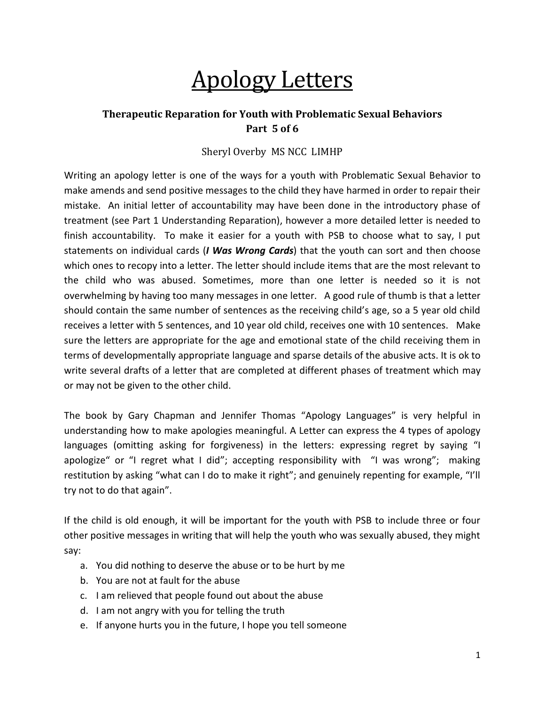# Apology Letters

## **Therapeutic Reparation for Youth with Problematic Sexual Behaviors Part 5 of 6**

### Sheryl Overby MS NCC LIMHP

Writing an apology letter is one of the ways for a youth with Problematic Sexual Behavior to make amends and send positive messages to the child they have harmed in order to repair their mistake. An initial letter of accountability may have been done in the introductory phase of treatment (see Part 1 Understanding Reparation), however a more detailed letter is needed to finish accountability. To make it easier for a youth with PSB to choose what to say, I put statements on individual cards (*I Was Wrong Cards*) that the youth can sort and then choose which ones to recopy into a letter. The letter should include items that are the most relevant to the child who was abused. Sometimes, more than one letter is needed so it is not overwhelming by having too many messages in one letter. A good rule of thumb is that a letter should contain the same number of sentences as the receiving child's age, so a 5 year old child receives a letter with 5 sentences, and 10 year old child, receives one with 10 sentences. Make sure the letters are appropriate for the age and emotional state of the child receiving them in terms of developmentally appropriate language and sparse details of the abusive acts. It is ok to write several drafts of a letter that are completed at different phases of treatment which may or may not be given to the other child.

The book by Gary Chapman and Jennifer Thomas "Apology Languages" is very helpful in understanding how to make apologies meaningful. A Letter can express the 4 types of apology languages (omitting asking for forgiveness) in the letters: expressing regret by saying "I apologize" or "I regret what I did"; accepting responsibility with "I was wrong"; making restitution by asking "what can I do to make it right"; and genuinely repenting for example, "I'll try not to do that again".

If the child is old enough, it will be important for the youth with PSB to include three or four other positive messages in writing that will help the youth who was sexually abused, they might say:

- a. You did nothing to deserve the abuse or to be hurt by me
- b. You are not at fault for the abuse
- c. I am relieved that people found out about the abuse
- d. I am not angry with you for telling the truth
- e. If anyone hurts you in the future, I hope you tell someone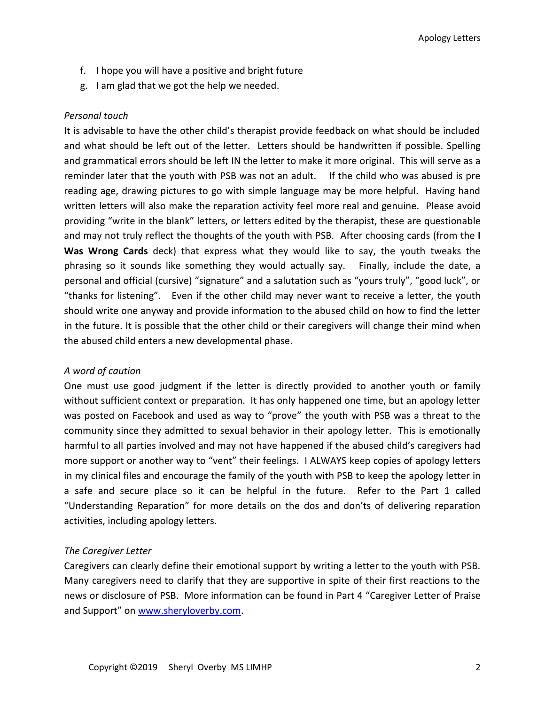- f. I hope you will have a positive and bright future
- g. I am glad that we got the help we needed.

#### *Personal touch*

It is advisable to have the other child's therapist provide feedback on what should be included and what should be left out of the letter. Letters should be handwritten if possible. Spelling and grammatical errors should be left IN the letter to make it more original. This will serve as a reminder later that the youth with PSB was not an adult. If the child who was abused is pre reading age, drawing pictures to go with simple language may be more helpful. Having hand written letters will also make the reparation activity feel more real and genuine. Please avoid providing "write in the blank" letters, or letters edited by the therapist, these are questionable and may not truly reflect the thoughts of the youth with PSB. After choosing cards (from the **I Was Wrong Cards** deck) that express what they would like to say, the youth tweaks the phrasing so it sounds like something they would actually say. Finally, include the date, a personal and official (cursive) "signature" and a salutation such as "yours truly", "good luck", or "thanks for listening". Even if the other child may never want to receive a letter, the youth should write one anyway and provide information to the abused child on how to find the letter in the future. It is possible that the other child or their caregivers will change their mind when the abused child enters a new developmental phase.

#### *A word of caution*

One must use good judgment if the letter is directly provided to another youth or family without sufficient context or preparation. It has only happened one time, but an apology letter was posted on Facebook and used as way to "prove" the youth with PSB was a threat to the community since they admitted to sexual behavior in their apology letter. This is emotionally harmful to all parties involved and may not have happened if the abused child's caregivers had more support or another way to "vent" their feelings. I ALWAYS keep copies of apology letters in my clinical files and encourage the family of the youth with PSB to keep the apology letter in a safe and secure place so it can be helpful in the future. Refer to the Part 1 called "Understanding Reparation" for more details on the dos and don'ts of delivering reparation activities, including apology letters.

#### *The Caregiver Letter*

Caregivers can clearly define their emotional support by writing a letter to the youth with PSB. Many caregivers need to clarify that they are supportive in spite of their first reactions to the news or disclosure of PSB. More information can be found in Part 4 "Caregiver Letter of Praise and Support" on [www.sheryloverby.com.](http://www.sheryloverby.com/)